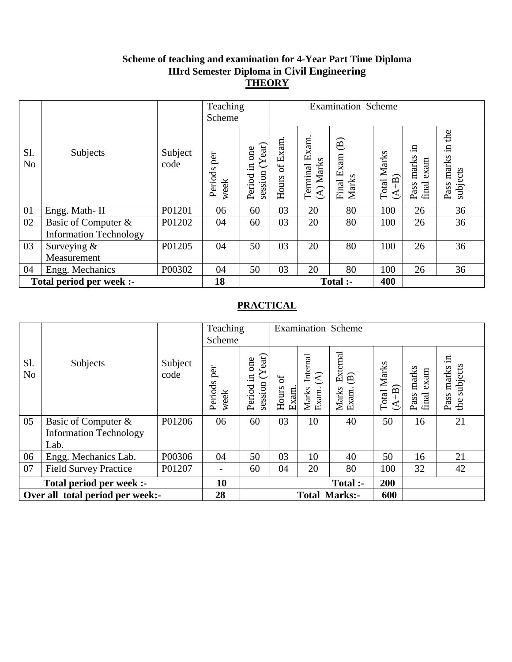#### **Scheme of teaching and examination for 4-Year Part Time Diploma IIIrd Semester Diploma in Civil Engineering THEORY**

|                          |                                                      |                 | Teaching<br>Scheme     |                                      | <b>Examination Scheme</b> |                            |                                               |                               |                                   |                                             |
|--------------------------|------------------------------------------------------|-----------------|------------------------|--------------------------------------|---------------------------|----------------------------|-----------------------------------------------|-------------------------------|-----------------------------------|---------------------------------------------|
| Sl.<br>N <sub>o</sub>    | Subjects                                             | Subject<br>code | per<br>Periods<br>week | session $(Year)$<br>one<br>Period in | Hours of Exam             | Terminal Exam<br>(A) Marks | $\widehat{\mathbf{B}}$<br>Final Exam<br>Marks | <b>Total Marks</b><br>$(A+B)$ | .⊟<br>Pass marks<br>exam<br>final | the<br>$\Xi$ .<br>marks<br>subjects<br>Pass |
| 01                       | Engg. Math-II                                        | P01201          | 06                     | 60                                   | 03                        | 20                         | 80                                            | 100                           | 26                                | 36                                          |
| 02                       | Basic of Computer &<br><b>Information Technology</b> | P01202          | 04                     | 60                                   | 03                        | 20                         | 80                                            | 100                           | 26                                | 36                                          |
| 03                       | Surveying $&$<br>Measurement                         | P01205          | 04                     | 50                                   | 03                        | 20                         | 80                                            | 100                           | 26                                | 36                                          |
| 04                       | Engg. Mechanics                                      | P00302          | 04                     | 50                                   | 03                        | 20                         | 80                                            | 100                           | 26                                | 36                                          |
| Total period per week :- |                                                      |                 | 18                     |                                      |                           |                            | Total :-                                      | 400                           |                                   |                                             |

|                                  |                               |                 | Teaching<br>Scheme          |                                             |                     |                                                       | <b>Examination Scheme</b>                            |                               |                                |                                        |
|----------------------------------|-------------------------------|-----------------|-----------------------------|---------------------------------------------|---------------------|-------------------------------------------------------|------------------------------------------------------|-------------------------------|--------------------------------|----------------------------------------|
| Sl.<br>N <sub>o</sub>            | Subjects                      | Subject<br>code | per<br>Periods<br>week      | (Year)<br>one<br>$\Xi$<br>session<br>Period | ð<br>Hours<br>Exam. | Internal<br>$\widehat{\mathcal{L}}$<br>Exam.<br>Marks | External<br>$\widehat{\mathbf{B}}$<br>Marks<br>Exam. | <b>Total Marks</b><br>$(A+B)$ | marks<br>exam<br>final<br>Pass | .日<br>subjects<br>marks<br>Pass<br>the |
| 05                               | Basic of Computer &           | P01206          | 06                          | 60                                          | 03                  | 10                                                    | 40                                                   | 50                            | 16                             | 21                                     |
|                                  | <b>Information Technology</b> |                 |                             |                                             |                     |                                                       |                                                      |                               |                                |                                        |
|                                  | Lab.                          |                 |                             |                                             |                     |                                                       |                                                      |                               |                                |                                        |
| 06                               | Engg. Mechanics Lab.          | P00306          | 04                          | 50                                          | 03                  | 10                                                    | 40                                                   | 50                            | 16                             | 21                                     |
| 07                               | <b>Field Survey Practice</b>  | P01207          | $\overline{\phantom{a}}$    | 60                                          | 04                  | 20                                                    | 80                                                   | 100                           | 32                             | 42                                     |
| Total period per week :-         |                               |                 | 10                          |                                             |                     |                                                       | Total :-                                             | 200                           |                                |                                        |
| Over all total period per week:- |                               | 28              | 600<br><b>Total Marks:-</b> |                                             |                     |                                                       |                                                      |                               |                                |                                        |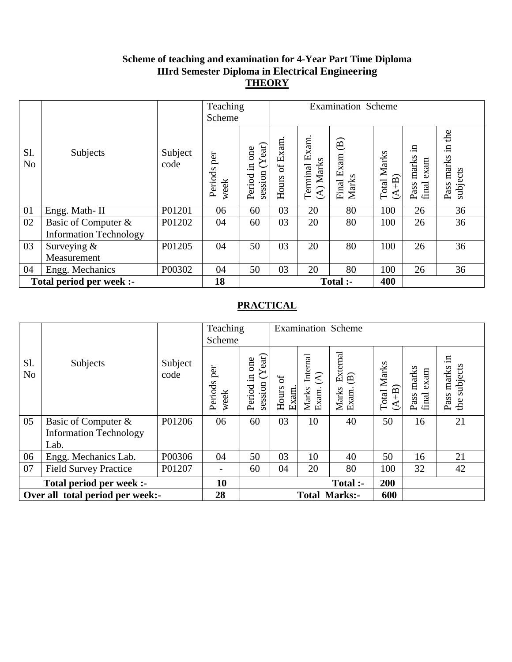#### **Scheme of teaching and examination for 4-Year Part Time Diploma IIIrd Semester Diploma in Electrical Engineering THEORY**

|                          |                                                      |                 | Teaching<br>Scheme     |                                      | <b>Examination Scheme</b> |                            |                                               |                               |                                   |                                        |
|--------------------------|------------------------------------------------------|-----------------|------------------------|--------------------------------------|---------------------------|----------------------------|-----------------------------------------------|-------------------------------|-----------------------------------|----------------------------------------|
| Sl.<br>N <sub>o</sub>    | Subjects                                             | Subject<br>code | per<br>Periods<br>week | session $(Year)$<br>one<br>Period in | Hours of Exam             | Terminal Exam<br>(A) Marks | $\widehat{\mathbf{B}}$<br>Final Exam<br>Marks | <b>Total Marks</b><br>$(A+B)$ | щ.<br>Pass marks<br>exam<br>final | the<br>.든<br>marks<br>subjects<br>Pass |
| 01                       | Engg. Math-II                                        | P01201          | 06                     | 60                                   | 03                        | 20                         | 80                                            | 100                           | 26                                | 36                                     |
| 02                       | Basic of Computer &<br><b>Information Technology</b> | P01202          | 04                     | 60                                   | 03                        | 20                         | 80                                            | 100                           | 26                                | 36                                     |
| 03                       | Surveying &<br>Measurement                           | P01205          | 04                     | 50                                   | 03                        | 20                         | 80                                            | 100                           | 26                                | 36                                     |
| 04                       | Engg. Mechanics                                      | P00302          | 04                     | 50                                   | 03                        | 20                         | 80                                            | 100                           | 26                                | 36                                     |
| Total period per week :- |                                                      |                 | 18                     |                                      |                           |                            | Total :-                                      | 400                           |                                   |                                        |

|                                  |                               |                 | Teaching<br>Scheme     |                                             |                      |                                                       | <b>Examination Scheme</b>                            |                               |                                |                                        |
|----------------------------------|-------------------------------|-----------------|------------------------|---------------------------------------------|----------------------|-------------------------------------------------------|------------------------------------------------------|-------------------------------|--------------------------------|----------------------------------------|
| Sl.<br>N <sub>o</sub>            | Subjects                      | Subject<br>code | per<br>Periods<br>week | (Year)<br>one<br>$\Xi$<br>session<br>Period | ð<br>Hours<br>Exam.  | Internal<br>$\widehat{\mathcal{E}}$<br>Exam.<br>Marks | External<br>$\widehat{\mathbf{B}}$<br>Marks<br>Exam. | <b>Total Marks</b><br>$(A+B)$ | marks<br>exam<br>final<br>Pass | .日<br>subjects<br>marks<br>Pass<br>the |
| 05                               | Basic of Computer &           | P01206          | 06                     | 60                                          | 03                   | 10                                                    | 40                                                   | 50                            | 16                             | 21                                     |
|                                  | <b>Information Technology</b> |                 |                        |                                             |                      |                                                       |                                                      |                               |                                |                                        |
|                                  | Lab.                          |                 |                        |                                             |                      |                                                       |                                                      |                               |                                |                                        |
| 06                               | Engg. Mechanics Lab.          | P00306          | 04                     | 50                                          | 03                   | 10                                                    | 40                                                   | 50                            | 16                             | 21                                     |
| 07                               | <b>Field Survey Practice</b>  | P01207          | $\qquad \qquad =$      | 60                                          | 04                   | 20                                                    | 80                                                   | 100                           | 32                             | 42                                     |
| Total period per week :-         |                               |                 | 10                     |                                             |                      |                                                       | Total :-                                             | 200                           |                                |                                        |
| Over all total period per week:- |                               | 28              |                        |                                             | <b>Total Marks:-</b> | 600                                                   |                                                      |                               |                                |                                        |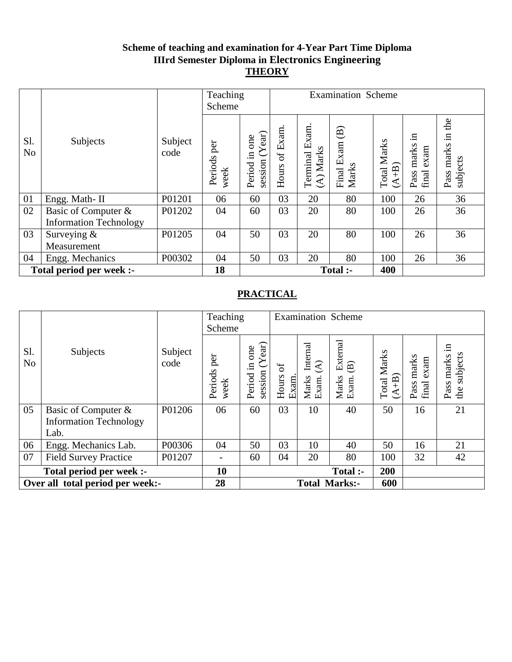## **Scheme of teaching and examination for 4-Year Part Time Diploma IIIrd Semester Diploma in Electronics Engineering THEORY**

|                          |                                                      |                 | Teaching<br>Scheme     |                                            | <b>Examination Scheme</b> |                            |                                               |                               |                                   |                                           |
|--------------------------|------------------------------------------------------|-----------------|------------------------|--------------------------------------------|---------------------------|----------------------------|-----------------------------------------------|-------------------------------|-----------------------------------|-------------------------------------------|
| Sl.<br>N <sub>o</sub>    | Subjects                                             | Subject<br>code | per<br>Periods<br>week | session $(Year)$<br>one<br>$\Xi$<br>Period | Hours of Exam             | Terminal Exam<br>(A) Marks | $\widehat{\mathbf{B}}$<br>Final Exam<br>Marks | <b>Total Marks</b><br>$(A+B)$ | 묘.<br>Pass marks<br>exam<br>final | the<br>$\Xi$<br>marks<br>subjects<br>Pass |
| 01                       | Engg. Math-II                                        | P01201          | 06                     | 60                                         | 03                        | 20                         | 80                                            | 100                           | 26                                | 36                                        |
| 02                       | Basic of Computer &<br><b>Information Technology</b> | P01202          | 04                     | 60                                         | 03                        | 20                         | 80                                            | 100                           | 26                                | 36                                        |
| 03                       | Surveying $&$<br>Measurement                         | P01205          | 04                     | 50                                         | 03                        | 20                         | 80                                            | 100                           | 26                                | 36                                        |
| 04                       | Engg. Mechanics                                      | P00302          | 04                     | 50                                         | 03                        | 20                         | 80                                            | 100                           | 26                                | 36                                        |
| Total period per week :- |                                                      |                 | 18                     |                                            |                           |                            | Total :-                                      | 400                           |                                   |                                           |

|                                  |                               |                 | Teaching<br>Scheme     |                                            |                     |                                                       | <b>Examination Scheme</b>                            |                               |                                |                                     |
|----------------------------------|-------------------------------|-----------------|------------------------|--------------------------------------------|---------------------|-------------------------------------------------------|------------------------------------------------------|-------------------------------|--------------------------------|-------------------------------------|
| Sl.<br>N <sub>o</sub>            | Subjects                      | Subject<br>code | per<br>Periods<br>week | session $(Year)$<br>one<br>$\Xi$<br>Period | ð<br>Hours<br>Exam. | Internal<br>$\widehat{\mathcal{E}}$<br>Exam.<br>Marks | External<br>$\widehat{\mathbf{B}}$<br>Marks<br>Exam. | <b>Total Marks</b><br>$(A+B)$ | marks<br>exam<br>final<br>Pass | .日<br>subjects<br>Pass marks<br>the |
| 05                               | Basic of Computer &           | P01206          | 06                     | 60                                         | 03                  | 10                                                    | 40                                                   | 50                            | 16                             | 21                                  |
|                                  | <b>Information Technology</b> |                 |                        |                                            |                     |                                                       |                                                      |                               |                                |                                     |
|                                  | Lab.                          |                 |                        |                                            |                     |                                                       |                                                      |                               |                                |                                     |
| 06                               | Engg. Mechanics Lab.          | P00306          | 04                     | 50                                         | 03                  | 10                                                    | 40                                                   | 50                            | 16                             | 21                                  |
| 07                               | <b>Field Survey Practice</b>  | P01207          | $\qquad \qquad =$      | 60                                         | 04                  | 20                                                    | 80                                                   | 100                           | 32                             | 42                                  |
| Total period per week :-         |                               |                 | 10                     |                                            |                     |                                                       | Total :-                                             | 200                           |                                |                                     |
| Over all total period per week:- |                               |                 | 28                     | 600<br><b>Total Marks:-</b>                |                     |                                                       |                                                      |                               |                                |                                     |